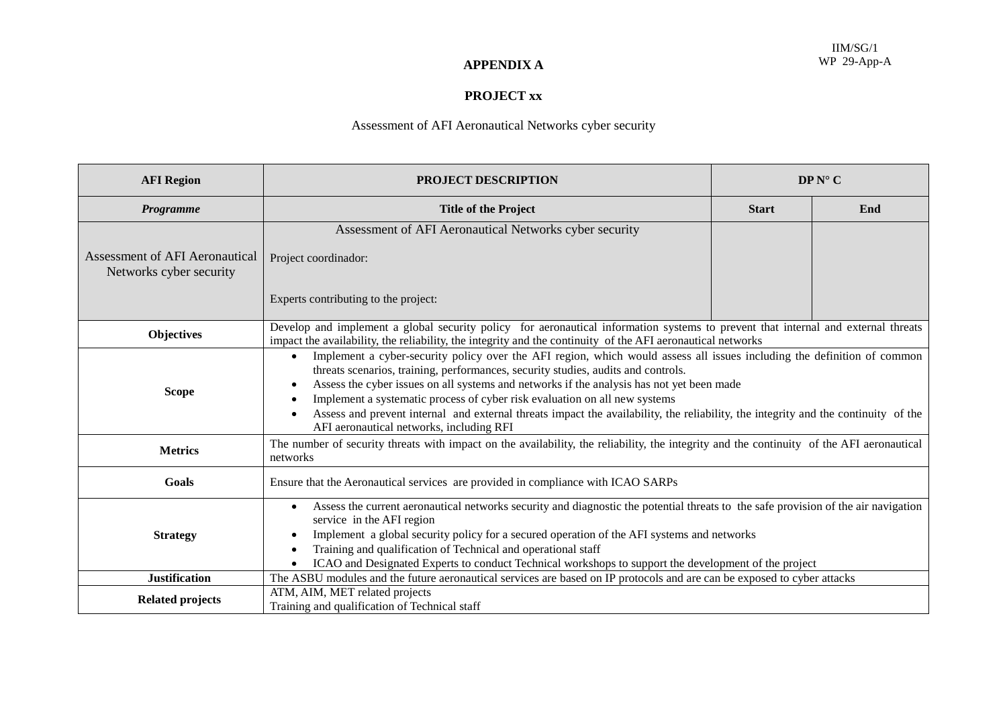## **APPENDIX A**

## **PROJECT xx**

## Assessment of AFI Aeronautical Networks cyber security

| <b>AFI</b> Region                                                | <b>PROJECT DESCRIPTION</b>                                                                                                                                                                                                                                                                                                                                                                                                                                                                                                                                                             | $DPN^{\circ}C$ |     |  |  |  |  |
|------------------------------------------------------------------|----------------------------------------------------------------------------------------------------------------------------------------------------------------------------------------------------------------------------------------------------------------------------------------------------------------------------------------------------------------------------------------------------------------------------------------------------------------------------------------------------------------------------------------------------------------------------------------|----------------|-----|--|--|--|--|
| Programme                                                        | <b>Title of the Project</b>                                                                                                                                                                                                                                                                                                                                                                                                                                                                                                                                                            | <b>Start</b>   | End |  |  |  |  |
|                                                                  | Assessment of AFI Aeronautical Networks cyber security                                                                                                                                                                                                                                                                                                                                                                                                                                                                                                                                 |                |     |  |  |  |  |
| <b>Assessment of AFI Aeronautical</b><br>Networks cyber security | Project coordinador:                                                                                                                                                                                                                                                                                                                                                                                                                                                                                                                                                                   |                |     |  |  |  |  |
|                                                                  | Experts contributing to the project:                                                                                                                                                                                                                                                                                                                                                                                                                                                                                                                                                   |                |     |  |  |  |  |
| <b>Objectives</b>                                                | Develop and implement a global security policy for aeronautical information systems to prevent that internal and external threats<br>impact the availability, the reliability, the integrity and the continuity of the AFI aeronautical networks                                                                                                                                                                                                                                                                                                                                       |                |     |  |  |  |  |
| <b>Scope</b>                                                     | Implement a cyber-security policy over the AFI region, which would assess all issues including the definition of common<br>threats scenarios, training, performances, security studies, audits and controls.<br>Assess the cyber issues on all systems and networks if the analysis has not yet been made<br>$\bullet$<br>Implement a systematic process of cyber risk evaluation on all new systems<br>Assess and prevent internal and external threats impact the availability, the reliability, the integrity and the continuity of the<br>AFI aeronautical networks, including RFI |                |     |  |  |  |  |
| <b>Metrics</b>                                                   | The number of security threats with impact on the availability, the reliability, the integrity and the continuity of the AFI aeronautical<br>networks                                                                                                                                                                                                                                                                                                                                                                                                                                  |                |     |  |  |  |  |
| Goals                                                            | Ensure that the Aeronautical services are provided in compliance with ICAO SARPs                                                                                                                                                                                                                                                                                                                                                                                                                                                                                                       |                |     |  |  |  |  |
| <b>Strategy</b>                                                  | Assess the current aeronautical networks security and diagnostic the potential threats to the safe provision of the air navigation<br>$\bullet$<br>service in the AFI region<br>Implement a global security policy for a secured operation of the AFI systems and networks<br>Training and qualification of Technical and operational staff<br>ICAO and Designated Experts to conduct Technical workshops to support the development of the project                                                                                                                                    |                |     |  |  |  |  |
| <b>Justification</b>                                             | The ASBU modules and the future aeronautical services are based on IP protocols and are can be exposed to cyber attacks                                                                                                                                                                                                                                                                                                                                                                                                                                                                |                |     |  |  |  |  |
| <b>Related projects</b>                                          | ATM, AIM, MET related projects<br>Training and qualification of Technical staff                                                                                                                                                                                                                                                                                                                                                                                                                                                                                                        |                |     |  |  |  |  |